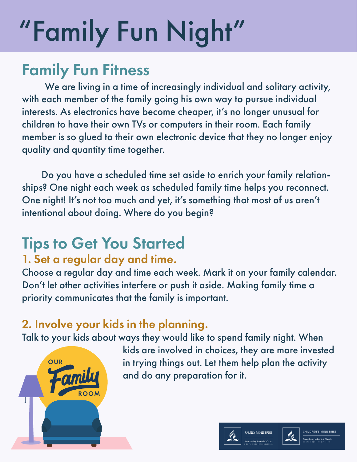## Family Fun Fitness

 We are living in a time of increasingly individual and solitary activity, with each member of the family going his own way to pursue individual interests. As electronics have become cheaper, it's no longer unusual for children to have their own TVs or computers in their room. Each family member is so glued to their own electronic device that they no longer enjoy quality and quantity time together.

 Do you have a scheduled time set aside to enrich your family relationships? One night each week as scheduled family time helps you reconnect. One night! It's not too much and yet, it's something that most of us aren't intentional about doing. Where do you begin?

## Tips to Get You Started

## 1. Set a regular day and time.

Choose a regular day and time each week. Mark it on your family calendar. Don't let other activities interfere or push it aside. Making family time a priority communicates that the family is important.

## 2. Involve your kids in the planning.

Talk to your kids about ways they would like to spend family night. When



 kids are involved in choices, they are more invested in trying things out. Let them help plan the activity and do any preparation for it.



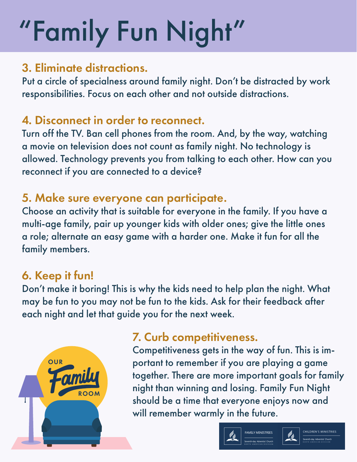#### 3. Eliminate distractions.

Put a circle of specialness around family night. Don't be distracted by work responsibilities. Focus on each other and not outside distractions.

## 4. Disconnect in order to reconnect.

Turn off the TV. Ban cell phones from the room. And, by the way, watching a movie on television does not count as family night. No technology is allowed. Technology prevents you from talking to each other. How can you reconnect if you are connected to a device?

## 5. Make sure everyone can participate.

Choose an activity that is suitable for everyone in the family. If you have a multi-age family, pair up younger kids with older ones; give the little ones a role; alternate an easy game with a harder one. Make it fun for all the family members.

### 6. Keep it fun!

Don't make it boring! This is why the kids need to help plan the night. What may be fun to you may not be fun to the kids. Ask for their feedback after each night and let that guide you for the next week.



## 7. Curb competitiveness.

Competitiveness gets in the way of fun. This is important to remember if you are playing a game together. There are more important goals for family night than winning and losing. Family Fun Night should be a time that everyone enjoys now and will remember warmly in the future.





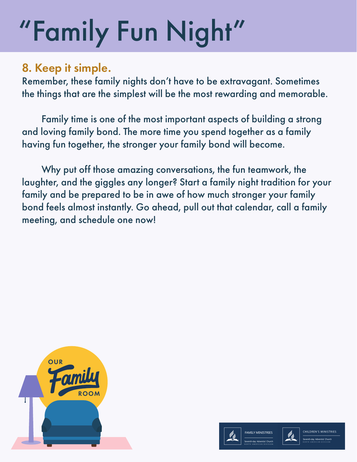## 8. Keep it simple.

Remember, these family nights don't have to be extravagant. Sometimes the things that are the simplest will be the most rewarding and memorable.

 Family time is one of the most important aspects of building a strong and loving family bond. The more time you spend together as a family having fun together, the stronger your family bond will become.

 Why put off those amazing conversations, the fun teamwork, the laughter, and the giggles any longer? Start a family night tradition for your family and be prepared to be in awe of how much stronger your family bond feels almost instantly. Go ahead, pull out that calendar, call a family meeting, and schedule one now!





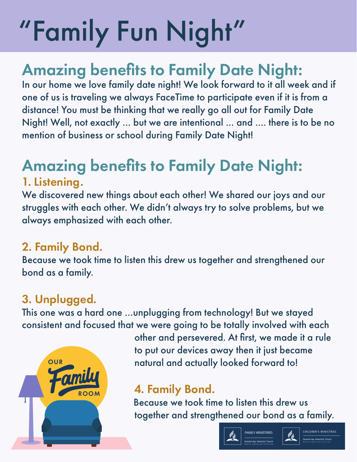## Amazing benefits to Family Date Night:

In our home we love family date night! We look forward to it all week and if one of us is traveling we always FaceTime to participate even if it is from a distance! You must be thinking that we really go all out for Family Date Night! Well, not exactly … but we are intentional … and …. there is to be no mention of business or school during Family Date Night!

## Amazing benefits to Family Date Night:

#### 1. Listening.

We discovered new things about each other! We shared our joys and our struggles with each other. We didn't always try to solve problems, but we always emphasized with each other.

### 2. Family Bond.

Because we took time to listen this drew us together and strengthened our bond as a family.

## 3. Unplugged.

This one was a hard one …unplugging from technology! But we stayed consistent and focused that we were going to be totally involved with each



 other and persevered. At first, we made it a rule to put our devices away then it just became natural and actually looked forward to!

## 4. Family Bond.

 Because we took time to listen this drew us together and strengthened our bond as a family.





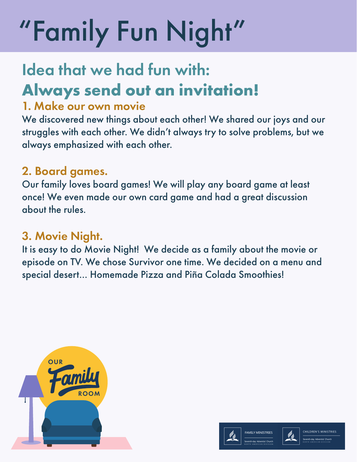## Idea that we had fun with: **Always send out an invitation!**

#### 1. Make our own movie

We discovered new things about each other! We shared our joys and our struggles with each other. We didn't always try to solve problems, but we always emphasized with each other.

## 2. Board games.

Our family loves board games! We will play any board game at least once! We even made our own card game and had a great discussion about the rules.

### 3. Movie Night.

It is easy to do Movie Night! We decide as a family about the movie or episode on TV. We chose Survivor one time. We decided on a menu and special desert… Homemade Pizza and Piña Colada Smoothies!





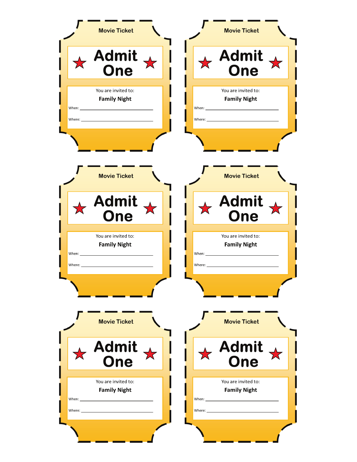